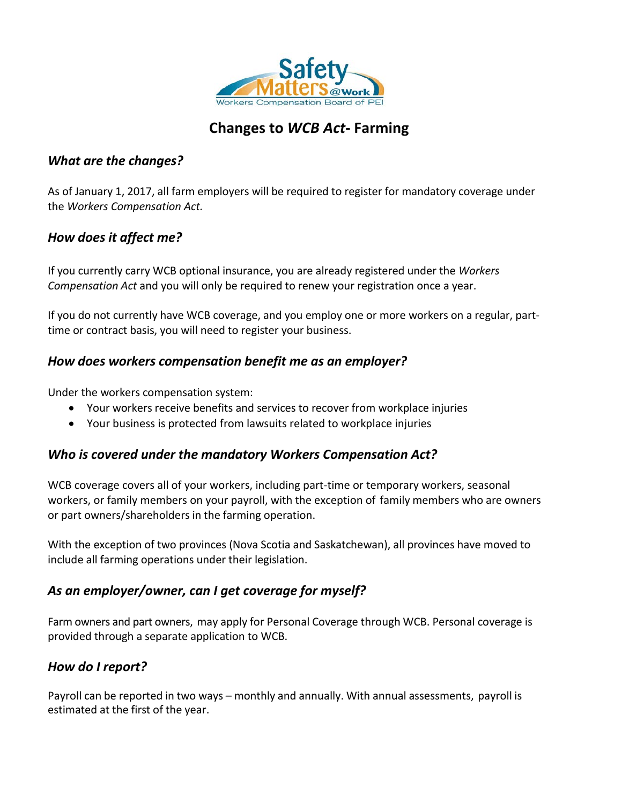

# **Changes to** *WCB Act***- Farming**

#### *What are the changes?*

As of January 1, 2017, all farm employers will be required to register for mandatory coverage under the *Workers Compensation Act.*

### *How does it affect me?*

If you currently carry WCB optional insurance, you are already registered under the *Workers Compensation Act* and you will only be required to renew your registration once a year.

If you do not currently have WCB coverage, and you employ one or more workers on a regular, parttime or contract basis, you will need to register your business.

#### *How does workers compensation benefit me as an employer?*

Under the workers compensation system:

- Your workers receive benefits and services to recover from workplace injuries
- Your business is protected from lawsuits related to workplace injuries

### *Who is covered under the mandatory Workers Compensation Act?*

WCB coverage covers all of your workers, including part-time or temporary workers, seasonal workers, or family members on your payroll, with the exception of family members who are owners or part owners/shareholders in the farming operation.

With the exception of two provinces (Nova Scotia and Saskatchewan), all provinces have moved to include all farming operations under their legislation.

### *As an employer/owner, can I get coverage for myself?*

Farm owners and part owners, may apply for Personal Coverage through WCB. Personal coverage is provided through a separate application to WCB.

### *How do I report?*

Payroll can be reported in two ways – monthly and annually. With annual assessments, payroll is estimated at the first of the year.